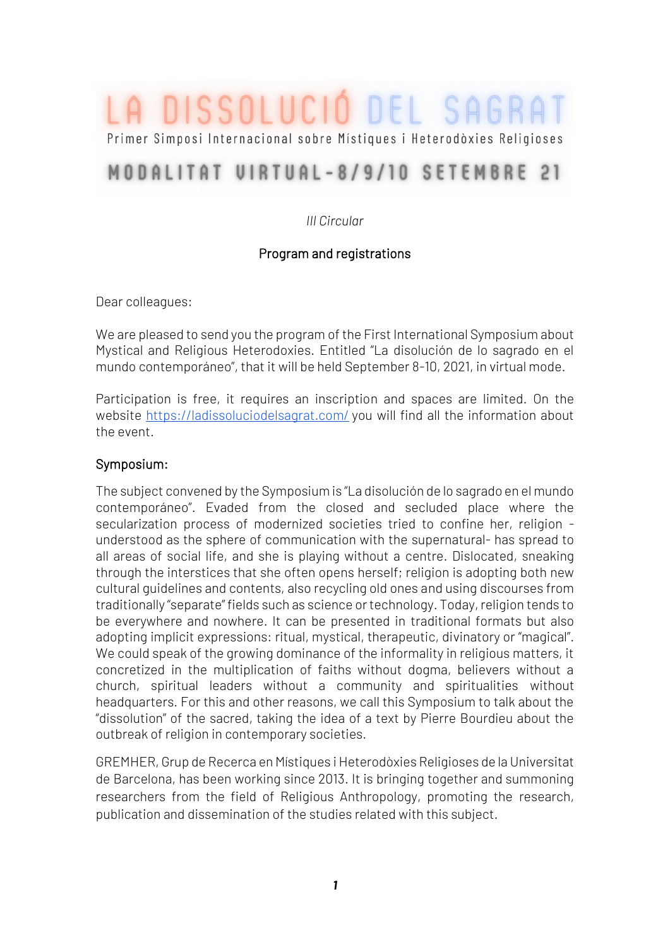# A DISSOLUCIÓ DEL SAGRA

Primer Simposi Internacional sobre Místiques i Heterodòxies Religioses

## MODALITAT VIRTUAL-8/9/10 SETEMBRE 21

#### *III Circular*

#### Program and registrations

Dear colleagues:

We are pleased to send you the program of the First International Symposium about Mystical and Religious Heterodoxies. Entitled "La disolución de lo sagrado en el mundo contemporáneo", that it will be held September 8-10, 2021, in virtual mode.

Participation is free, it requires an inscription and spaces are limited. On the website<https://ladissoluciodelsagrat.com/> you will find all the information about the event.

#### Symposium:

The subject convened by the Symposium is "La disolución de lo sagrado en el mundo contemporáneo". Evaded from the closed and secluded place where the secularization process of modernized societies tried to confine her, religion understood as the sphere of communication with the supernatural- has spread to all areas of social life, and she is playing without a centre. Dislocated, sneaking through the interstices that she often opens herself; religion is adopting both new cultural guidelines and contents, also recycling old ones and using discourses from traditionally "separate" fields such as science or technology. Today, religion tends to be everywhere and nowhere. It can be presented in traditional formats but also adopting implicit expressions: ritual, mystical, therapeutic, divinatory or "magical". We could speak of the growing dominance of the informality in religious matters, it concretized in the multiplication of faiths without dogma, believers without a church, spiritual leaders without a community and spiritualities without headquarters. For this and other reasons, we call this Symposium to talk about the "dissolution" of the sacred, taking the idea of a text by Pierre Bourdieu about the outbreak of religion in contemporary societies.

GREMHER, Grup de Recerca en Místiques i Heterodòxies Religioses de la Universitat de Barcelona, has been working since 2013. It is bringing together and summoning researchers from the field of Religious Anthropology, promoting the research, publication and dissemination of the studies related with this subject.